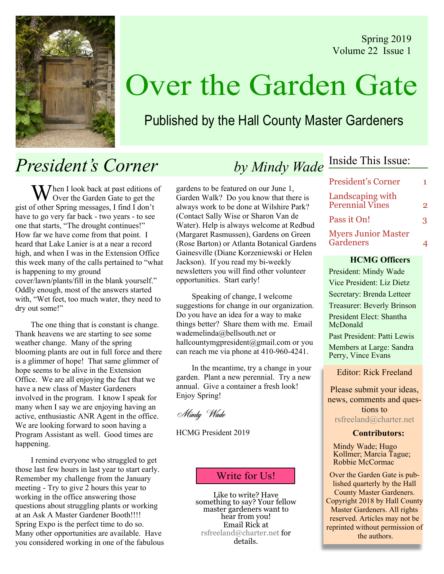Spring 2019 Volume 22 Issue 1



# Over the Garden Gate

### Published by the Hall County Master Gardeners

## President's Corner

 $M$ hen I look back at past editions of Over the Garden Gate to get the gist of other Spring messages, I find I don't have to go very far back - two years - to see one that starts, "The drought continues!" How far we have come from that point. I heard that Lake Lanier is at a near a record high, and when I was in the Extension Office this week many of the calls pertained to "what is happening to my ground cover/lawn/plants/fill in the blank yourself." Oddly enough, most of the answers started with, "Wet feet, too much water, they need to dry out some!"

The one thing that is constant is change. Thank heavens we are starting to see some weather change. Many of the spring blooming plants are out in full force and there is a glimmer of hope! That same glimmer of hope seems to be alive in the Extension Office. We are all enjoying the fact that we have a new class of Master Gardeners involved in the program. I know I speak for many when I say we are enjoying having an active, enthusiastic ANR Agent in the office. We are looking forward to soon having a Program Assistant as well. Good times are happening.

I remind everyone who struggled to get those last few hours in last year to start early. Remember my challenge from the January meeting - Try to give 2 hours this year to working in the office answering those questions about struggling plants or working at an Ask A Master Gardener Booth!!!! Spring Expo is the perfect time to do so. Many other opportunities are available. Have you considered working in one of the fabulous gardens to be featured on our June 1, Garden Walk? Do you know that there is always work to be done at Wilshire Park? (Contact Sally Wise or Sharon Van de Water). Help is always welcome at Redbud (Margaret Rasmussen), Gardens on Green (Rose Barton) or Atlanta Botanical Gardens Gainesville (Diane Korzeniewski or Helen Jackson). If you read my bi-weekly newsletters you will find other volunteer opportunities. Start early!

Speaking of change, I welcome suggestions for change in our organization. Do you have an idea for a way to make things better? Share them with me. Email wademelinda@bellsouth.net or hallcountymgpresident@gmail.com or you can reach me via phone at 410-960-4241.

In the meantime, try a change in your garden. Plant a new perennial. Try a new annual. Give a container a fresh look! Enjoy Spring!

Mindy Wade

HCMG President 2019

### Write for Us!

Like to write? Have something to say? Your fellow master gardeners want to hear from you! Email Rick at rsfreeland@charter.net for details.

# by Mindy Wade Inside This Issue:

| <b>President's Corner</b>               |   |
|-----------------------------------------|---|
| Landscaping with<br>Perennial Vines     | 2 |
| Pass it On!                             | 3 |
| <b>Myers Junior Master</b><br>Gardeners |   |

### HCMG Officers

President: Mindy Wade Vice President: Liz Dietz Secretary: Brenda Letteer Treasurer: Beverly Brinson President Elect: Shantha McDonald

Past President: Patti Lewis

Members at Large: Sandra Perry, Vince Evans

Editor: Rick Freeland

Please submit your ideas, news, comments and questions to rsfreeland@charter.net

### Contributors:

Mindy Wade; Hugo Kollmer; Marcia Tague; Robbie McCormac

Over the Garden Gate is published quarterly by the Hall County Master Gardeners. Copyright 2018 by Hall County Master Gardeners. All rights reserved. Articles may not be reprinted without permission of the authors.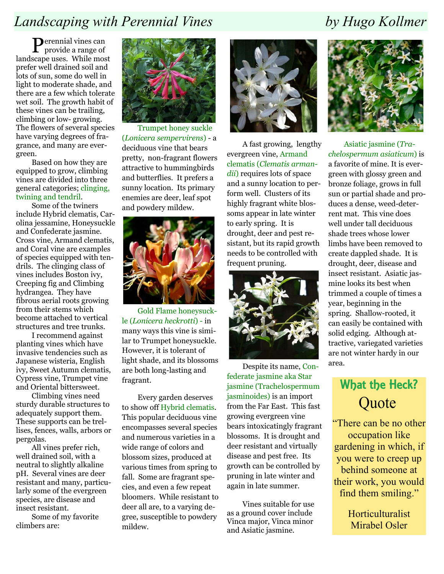## Landscaping with Perennial Vines by Hugo Kollmer

Perennial vines can provide a range of landscape uses. While most prefer well drained soil and lots of sun, some do well in light to moderate shade, and there are a few which tolerate wet soil. The growth habit of these vines can be trailing, climbing or low- growing. The flowers of several species have varying degrees of fragrance, and many are evergreen.

Based on how they are equipped to grow, climbing vines are divided into three general categories; clinging, twining and tendril.

Some of the twiners include Hybrid clematis, Carolina jessamine, Honeysuckle and Confederate jasmine. Cross vine, Armand clematis, and Coral vine are examples of species equipped with tendrils. The clinging class of vines includes Boston ivy, Creeping fig and Climbing hydrangea. They have fibrous aerial roots growing from their stems which become attached to vertical structures and tree trunks.

I recommend against planting vines which have invasive tendencies such as Japanese wisteria, English ivy, Sweet Autumn clematis, Cypress vine, Trumpet vine and Oriental bittersweet.

Climbing vines need sturdy durable structures to adequately support them. These supports can be trellises, fences, walls, arbors or pergolas.

All vines prefer rich, well drained soil, with a neutral to slightly alkaline pH. Several vines are deer resistant and many, particularly some of the evergreen species, are disease and insect resistant.

Some of my favorite climbers are:



Trumpet honey suckle (Lonicera sempervirens) - a deciduous vine that bears pretty, non-fragrant flowers attractive to hummingbirds and butterflies. It prefers a sunny location. Its primary enemies are deer, leaf spot and powdery mildew.



Gold Flame honeysuckle (Lonicera heckrotti) - in many ways this vine is similar to Trumpet honeysuckle. However, it is tolerant of light shade, and its blossoms are both long-lasting and fragrant.

Every garden deserves to show off Hybrid clematis. This popular deciduous vine encompasses several species and numerous varieties in a wide range of colors and blossom sizes, produced at various times from spring to fall. Some are fragrant species, and even a few repeat bloomers. While resistant to deer all are, to a varying degree, susceptible to powdery mildew.



A fast growing, lengthy evergreen vine, Armand clematis (Clematis armandii) requires lots of space and a sunny location to perform well. Clusters of its highly fragrant white blossoms appear in late winter to early spring. It is drought, deer and pest resistant, but its rapid growth needs to be controlled with frequent pruning.



Despite its name, Confederate jasmine aka Star jasmine (Trachelospermum jasminoides) is an import from the Far East. This fast growing evergreen vine bears intoxicatingly fragrant blossoms. It is drought and deer resistant and virtually disease and pest free. Its growth can be controlled by pruning in late winter and again in late summer.

Vines suitable for use as a ground cover include Vinca major, Vinca minor and Asiatic jasmine.



Asiatic jasmine (Trachelospermum asiaticum) is a favorite of mine. It is evergreen with glossy green and bronze foliage, grows in full sun or partial shade and produces a dense, weed-deterrent mat. This vine does well under tall deciduous shade trees whose lower limbs have been removed to create dappled shade. It is drought, deer, disease and insect resistant. Asiatic jasmine looks its best when trimmed a couple of times a year, beginning in the spring. Shallow-rooted, it can easily be contained with solid edging. Although attractive, variegated varieties are not winter hardy in our area.

## What the Heck? **Quote**

"There can be no other occupation like gardening in which, if you were to creep up behind someone at their work, you would find them smiling."

> Horticulturalist Mirabel Osler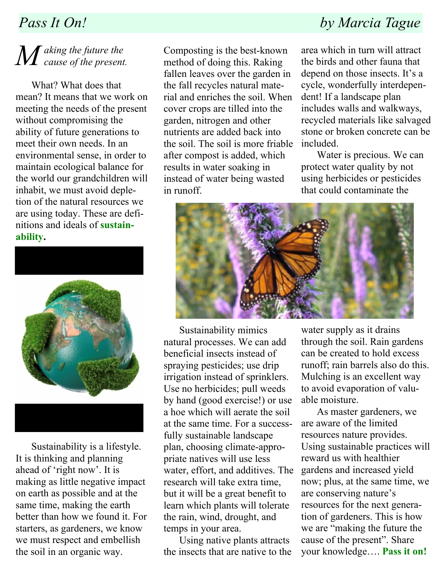# $\overline{M}$  aking the future the<br>cause of the present.

What? What does that mean? It means that we work on meeting the needs of the present without compromising the ability of future generations to meet their own needs. In an environmental sense, in order to maintain ecological balance for the world our grandchildren will inhabit, we must avoid depletion of the natural resources we are using today. These are definitions and ideals of sustainability.



Sustainability is a lifestyle. It is thinking and planning ahead of 'right now'. It is making as little negative impact on earth as possible and at the same time, making the earth better than how we found it. For starters, as gardeners, we know we must respect and embellish the soil in an organic way.

Composting is the best-known method of doing this. Raking fallen leaves over the garden in the fall recycles natural material and enriches the soil. When cover crops are tilled into the garden, nitrogen and other nutrients are added back into the soil. The soil is more friable after compost is added, which results in water soaking in instead of water being wasted in runoff.

## Pass It On! by Marcia Tague

area which in turn will attract the birds and other fauna that depend on those insects. It's a cycle, wonderfully interdependent! If a landscape plan includes walls and walkways, recycled materials like salvaged stone or broken concrete can be included.

Water is precious. We can protect water quality by not using herbicides or pesticides that could contaminate the



Sustainability mimics natural processes. We can add beneficial insects instead of spraying pesticides; use drip irrigation instead of sprinklers. Use no herbicides; pull weeds by hand (good exercise!) or use a hoe which will aerate the soil at the same time. For a successfully sustainable landscape plan, choosing climate-appropriate natives will use less water, effort, and additives. The research will take extra time, but it will be a great benefit to learn which plants will tolerate the rain, wind, drought, and temps in your area.

Using native plants attracts the insects that are native to the

water supply as it drains through the soil. Rain gardens can be created to hold excess runoff; rain barrels also do this. Mulching is an excellent way to avoid evaporation of valuable moisture.

As master gardeners, we are aware of the limited resources nature provides. Using sustainable practices will reward us with healthier gardens and increased yield now; plus, at the same time, we are conserving nature's resources for the next generation of gardeners. This is how we are "making the future the cause of the present". Share your knowledge…. Pass it on!